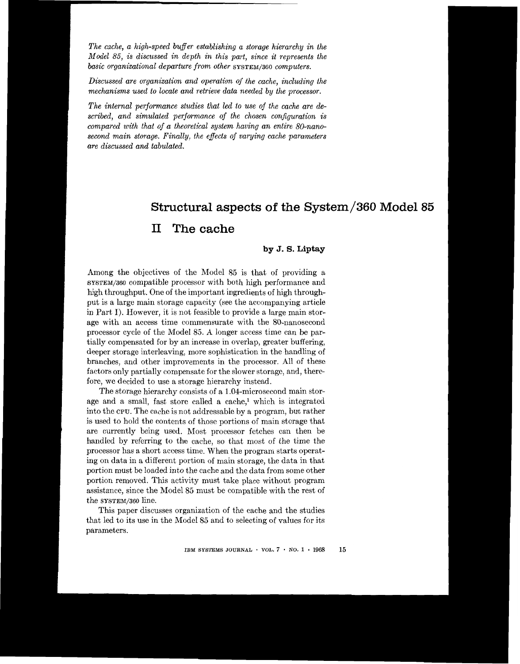*The cache, a high-speed buffer establishing a storage hierarchy in the Model 85, is discussed in depth in this part, since it represents the basic organizational departure from other SYSTEM/360 computers.* 

*Discussed are organization and operation* of *the cache, including the mechanisms used to locate and retrieve data needed by the processor.* 

*The internal performance studies that led to use* of *the cache are described, and simulated performance* of *the chosen configuration is compared with that of a theoretical system having an entire 80-nanosecond main storage. Finally, the effects* of *varying cache parameters are discussed and tabulated.* 

# **Structural aspects of the System/360 Model 85**

# **<sup>11</sup>The cache**

# **by J.** *S.* **Liptay**

Among the objectives of the Model 85 is that of providing a **SYSTEM/360** compatible processor with both high performance and high throughput. One of the important ingredients of high throughput is a large main storage capacity (see the accompanying article in Part I). However, it is not feasible to provide a large main storage with an access time commensurate with the 80-nanosecond processor cycle of the Model 85. A longer access time can be partially compensated for by an increase in overlap, greater buffering, deeper storage interleaving, more sophistication in the handling of branches, and other improvements in the processor. All of these factors only partially compensate for the slower storage, and, therefore, we decided to use a storage hierarchy instead.

The storage hierarchy consists of a 1.04-microsecond main storage and a small, fast store called a cache,<sup>1</sup> which is integrated into the **CPU.** The cache is not addressable by a program, but rather is used to hold the contents of those portions of main storage that are currently being used. Most processor fetches can then be handled by referring to the cache, so that most of the time the processor has a short access time. When the program starts operating on data in a different portion of main storage, the data in that portion must be loaded into the cache and the data from some other portion removed. This activity must take place without program assistance, since the Model **85** must be compatible with the rest of the **SYSTEM/360** line.

This paper discusses organization of the cache and the studies that led to its use in the Model 85 and to selecting of values for its parameters.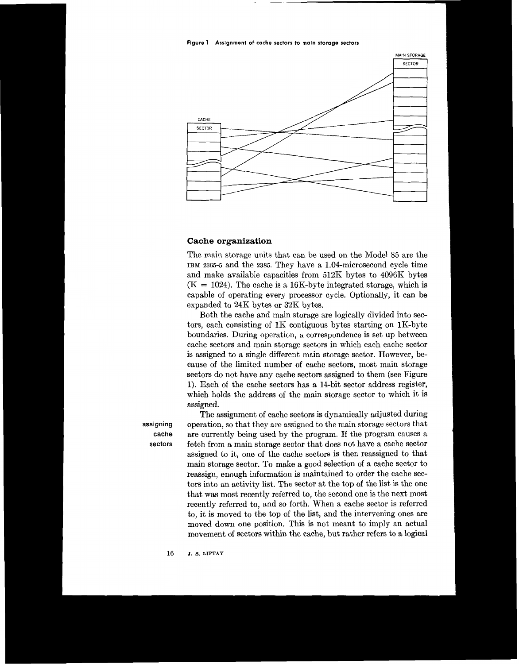**Figure 1 Assignment of cache sectors to main storage sectors** 



### **Cache organization**

The main storage units that can be used on the Model 85 are the **IBM 2365-5** and the **2385.** They have a 1.04-microsecond cycle time and make available capacities from 512K bytes to 4096K bytes  $(K = 1024)$ . The cache is a 16K-byte integrated storage, which is capable of operating every processor cycle. Optionally, it can be expanded to 24K bytes or **32K** bytes.

Both the cache and main storage are logically divided into sectors, each consisting of 1K contiguous bytes starting on 1K-byte boundaries. During operation, a correspondence is set up between cache sectors and main storage sectors in which each cache sector is assigned to a single different main storage sector. However, because of the limited number of cache sectors, most main storage sectors do not have any cache sectors assigned to them (see Figure 1). Each of the cache sectors has a 14-bit sector address register, which holds the address of the main storage sector to which it is assigned.

The assignment of cache sectors is dynamically adjusted during **assigning** operation, so that they are assigned to the main storage sectors that **cache** are currently being used by the program. If the program causes a sectors fetch from a main storage sector that does not have a cache sector assigned to it, one of the cache sectors is then reassigned to that main storage sector. To make a good selection of a cache sector to reassign, enough information is maintained to order the cache sectors into an activity list. The sector at the top of the list is the one that was most recently referred to, the second one is the next most recently referred to, and so forth. When a cache sector is referred *to,* it is moved to the top of the list, and the intervening ones are moved down one position. This is not meant to imply an actual movement of sectors within the cache, but rather refers to a logical

**16 J.** *8.* **LIPTAY**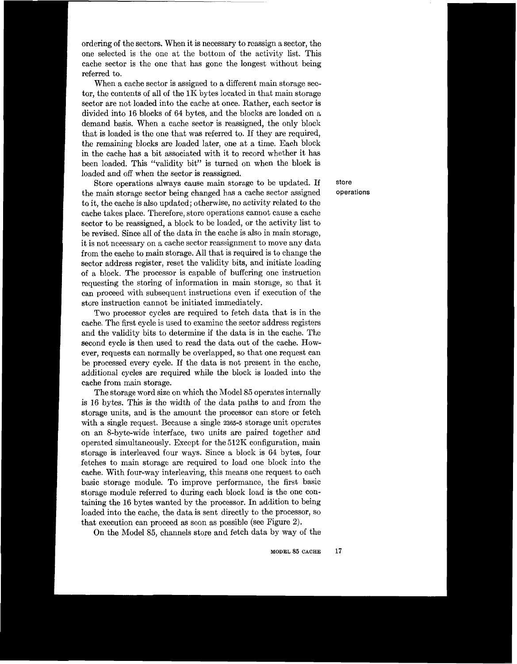ordering of the sectors. When it is necessary to reassign a sector, the one selected is the one at the bottom of the activity list. This cache sector is the one that has gone the longest without being referred to.

When a cache sector is assigned to a different main storage sector, the contents of all of the **1K** bytes located in that main storage sector are not loaded into the cache at once. Rather, each sector is divided into **16** blocks of **64** bytes, and the blocks are loaded on a demand basis. When a cache sector is reassigned, the only block that is loaded is the one that was referred to. If they are required, the remaining blocks are loaded later, one at a time. Each block in the cache has a bit associated with it to record whether it has been loaded. This "validity bit" is turned on when the block is loaded and off when the sector is reassigned.

Store operations always cause main storage to be updated. If the main storage sector being changed has a cache sector assigned to it, the cache is also updated; otherwise, no activity related to the cache takes place. Therefore, store operations cannot cause a cache sector to be reassigned, a block to be loaded, or the activity list to be revised. Since all of the data in the cache is also in main storage, it is not necessary on a cache sector reassignment to move any data from the cache to main storage. All that is required is to change the sector address register, reset the validity bits, and initiate Ioading of a block. The processor is capable of buffering one instruction requesting the storing of information in main storage, so that it can proceed with subsequent instructions even if execution of the store instruction cannot be initiated immediately.

Two processor cycles are required to fetch data that is in the cache. The first cycle is used to examine the sector address registers and the validity bits to determine if the data is in the cache. The second cycle is then used to read the data out of the cache. However, requests can normally be overlapped, so that one request can be processed every cycle. If the data is not present in the cache, additional cycles are required while the block is loaded into the cache from main storage.

The storage word size on which the Model 85 operates internally is **16** bytes. This is the width of the data paths to and from the storage units, and is the amount the processor can store or fetch with a single request. Because a single **2365-5** storage unit operates on an 8-byte-wide interface, two units are paired together and operated simultaneously. Except for the **512K** configuration, main storage is interleaved four ways. Since a block is **64** bytes, four fetches to main storage are required to load one block into the cache. With four-way interleaving, this means one request to each basic storage module. To improve performance, the first basic storage module referred to during each block load is the one containing the **16** bytes wanted by the processor. In addition to being loaded into the cache, the data is sent directly to the processor, so that execution can proceed as soon as possible (see Figure 2).

On the Model 85, channels store and fetch data by way of the

store operations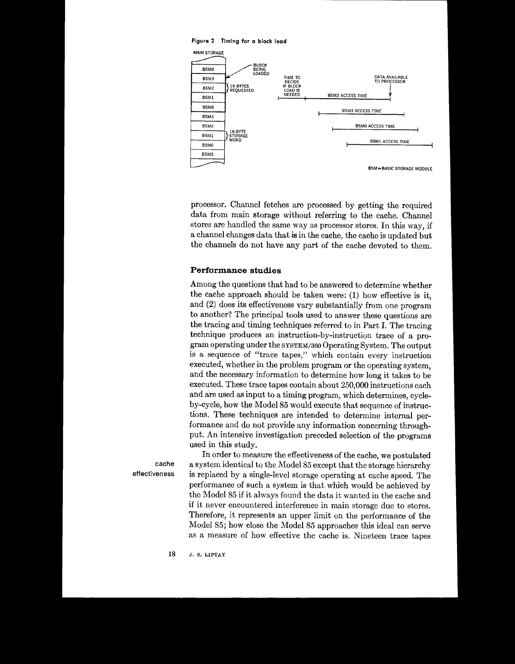

processor. Channel fetches are processed by- getting the required data from main storage without referring to the cache. Channel stores are handled the same way as processor stores. In this way, if a channel changes data that is in the cache, the cache is updated but the channels do not have any part of the cache devoted to them.

### **Performance studies**

Among the questions that had to be answered to determine whether the cache approach should be taken were: (1) how effective is it, and **(2)** does its effectiveness vary substantially from one program to another? The principal tools used to answer these questions are the tracing and timing techniques referred to in Part I. The tracing technique produces an instruction-by-instruction trace of a program operating under the *SYSTEM*/360 Operating System. The output is a sequence of "trace tapes," which contain every instruction executed, whether in the problem program or the operating system, and the necessary information to determine how long it takes to be executed. These trace tapes contain about 250,000 instructions each and are used as input to a timing program, which determines, cycleby-cycle, how the Model 85 would execute that sequence of instructions. These techniques are intended to determine internal performance and do not provide any information concerning throughput. An intensive investigation preceded selection of the programs used in this study.

In order to measure the effectiveness of the cache, we postulated **cache** a system identical to the Model 85 except that the storage hierarchy **effectiveness** is replaced by a single-level storage operating at cache speed. The performance of such a system is that which would be achieved by the Model **85** if it always found the data it wanted in the cache and if it never encountered interference in main storage due to stores. Therefore, it represents an upper limit on the performance of the Model 85; how close the Model 85 approaches this ideal can serve as a measure of how effective the cache is. Nineteen trace tapes <br>18 J. s. LIPTAY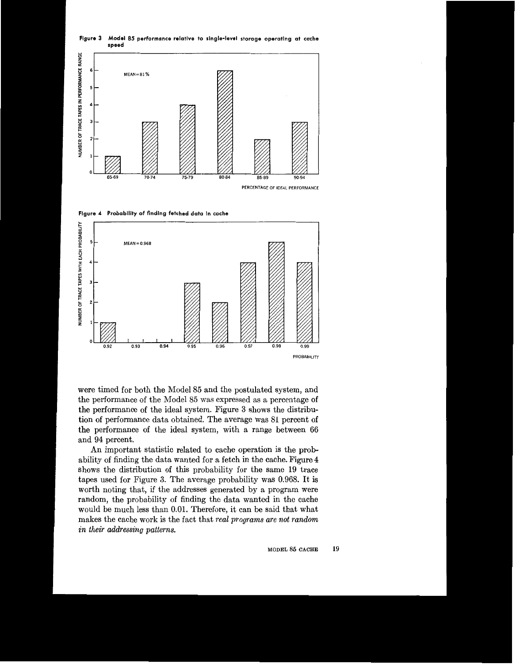

**Figure 3 Model 85 performance relative to single-level storage operating at cache speed** 

**Flgure 4 Probability of finding fetched data in cache** 



were timed for both the Model 85 and the postulated system, and the performance of the Model **85** was expressed as a percentage of the performance of the ideal system. Figure **3** shows the distribution of performance data obtained, The average was **81** percent **of**  the performance of the ideal system, with a range between **66**  and **94** percent.

An important statistic related to cache operation is the probability of finding the data wanted for a fetch in the cache. Figure **4**  shows the distribution of this probability for the same **19** trace tapes used for Figure **3.** The average probability was **0.968.** It is worth noting that, if the addresses generated by a program were random, the probability of finding the data wanted in the cache would be much less than **0.01.** Therefore, it can be said that what makes the cache work is the fact that *real programs are not random in their addressing patterns.*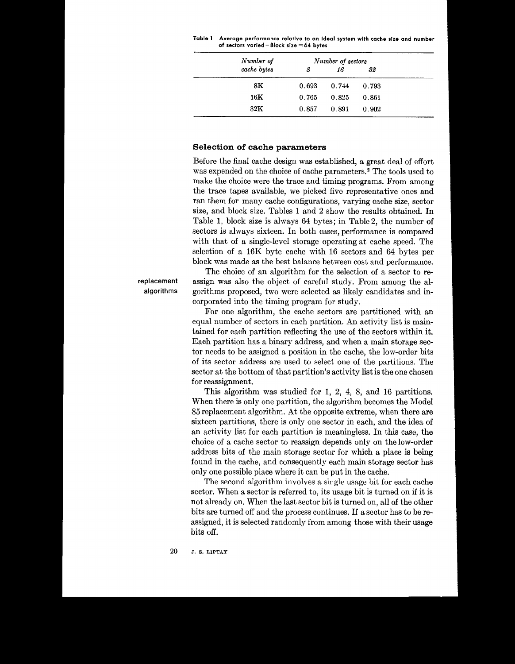| Table 1 Average performance relative to an ideal system with cache size and number |
|------------------------------------------------------------------------------------|
| of sectors varied $-$ Block size $=$ 64 bytes                                      |

| Number of      |       | Number of sectors |       |  |
|----------------|-------|-------------------|-------|--|
| cache bytes    | 8     | 16                | 32    |  |
| 8Κ             | 0.693 | 0.744             | 0.793 |  |
| $16\mathrm{K}$ | 0.765 | 0.825             | 0.861 |  |
| $32\mathrm{K}$ | 0.857 | 0.891             | 0.902 |  |

### Selection of cache parameters

Before the final cache design was established, a great deal of effort was expended on the choice of cache parameters.<sup>2</sup> The tools used to make the choice were the trace and timing programs. From among the trace tapes available, we picked five representative ones and ran them for many cache configurations, varying cache size, sector size, and block size. Tables 1 and 2 show the results obtained. In Table 1, block size is always 64 bytes; in Table 2, the number of sectors is always sixteen. In both cases, performance is compared with that of a single-level storage operating at cache speed. The selection of a 16K byte cache with 16 sectors and 64 bytes per block was made as the best balance between cost and performance.

The choice of an algorithm for the selection of a sector to reassign was also the object of careful study. From among the algorithms proposed, two were selected as likely candidates and incorporated into the timing program for study.

For one algorithm, the cache sectors are partitioned with an equal number of sectors in each partition. An activity list is maintained for each partition reflecting the use of the sectors within it. Each partition has a binary address, and when a main storage sector needs to be assigned a position in the cache, the low-order bits of its sector address are used to select one of the partitions. The sector at the bottom of that partition's activity list is the one chosen for reassignment.

This algorithm was studied for 1, 2, 4, 8, and 16 partitions. When there is only one partition, the algorithm becomes the Model 85 replacement algorithm. At the opposite extreme, when there are sixteen partitions, there is only one sector in each, and the idea of an activity list for each partition is meaningless. In this case, the choice of a cache sector to reassign depends only on the low-order address bits of the main storage sector for which a place is being found in the cache, and consequently each main storage sector has only one possible place where it can be put in the cache.

The second algorithm involves a single usage bit for each cache sector. When a sector is referred to, its usage bit is turned on if it is not already on. When the last sector bit is turned on, all of the other bits are turned off and the process continues. If a sector has to be reassigned, it is selected randomly from among those with their usage bits off.

replacement algorithms

> 20 J. S. LIPTAY